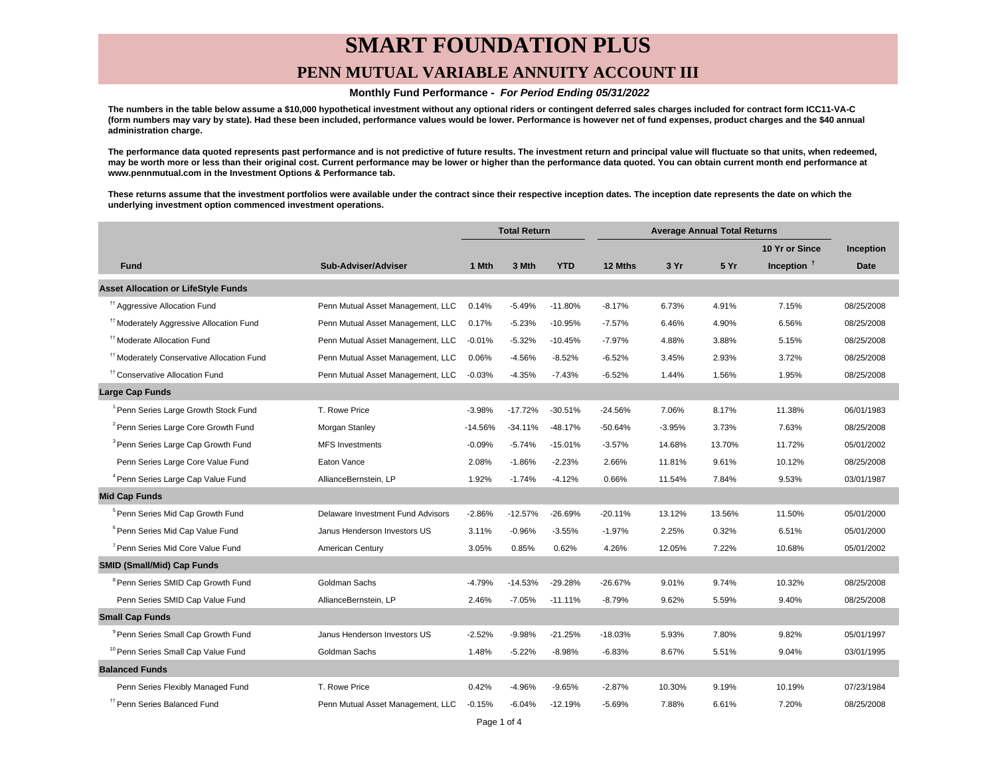# **SMART FOUNDATION PLUS**

### **PENN MUTUAL VARIABLE ANNUITY ACCOUNT III**

#### **Monthly Fund Performance - For Period Ending 05/31/2022**

**The numbers in the table below assume a \$10,000 hypothetical investment without any optional riders or contingent deferred sales charges included for contract form ICC11-VA-C (form numbers may vary by state). Had these been included, performance values would be lower. Performance is however net of fund expenses, product charges and the \$40 annual administration charge.**

**The performance data quoted represents past performance and is not predictive of future results. The investment return and principal value will fluctuate so that units, when redeemed, may be worth more or less than their original cost. Current performance may be lower or higher than the performance data quoted. You can obtain current month end performance at www.pennmutual.com in the Investment Options & Performance tab.**

**These returns assume that the investment portfolios were available under the contract since their respective inception dates. The inception date represents the date on which the underlying investment option commenced investment operations.**

|                                                       |                                   | <b>Total Return</b> |           | <b>Average Annual Total Returns</b> |           |          |        |                |             |
|-------------------------------------------------------|-----------------------------------|---------------------|-----------|-------------------------------------|-----------|----------|--------|----------------|-------------|
|                                                       |                                   |                     |           |                                     |           |          |        | 10 Yr or Since | Inception   |
| <b>Fund</b>                                           | Sub-Adviser/Adviser               | 1 Mth               | 3 Mth     | <b>YTD</b>                          | 12 Mths   | 3 Yr     | 5 Yr   | Inception $†$  | <b>Date</b> |
| <b>Asset Allocation or LifeStyle Funds</b>            |                                   |                     |           |                                     |           |          |        |                |             |
| <sup>11</sup> Aggressive Allocation Fund              | Penn Mutual Asset Management, LLC | 0.14%               | $-5.49%$  | $-11.80%$                           | $-8.17%$  | 6.73%    | 4.91%  | 7.15%          | 08/25/2008  |
| <sup>#†</sup> Moderately Aggressive Allocation Fund   | Penn Mutual Asset Management, LLC | 0.17%               | $-5.23%$  | $-10.95%$                           | $-7.57%$  | 6.46%    | 4.90%  | 6.56%          | 08/25/2008  |
| <sup>tt</sup> Moderate Allocation Fund                | Penn Mutual Asset Management, LLC | $-0.01%$            | $-5.32%$  | $-10.45%$                           | $-7.97%$  | 4.88%    | 3.88%  | 5.15%          | 08/25/2008  |
| <sup>11</sup> Moderately Conservative Allocation Fund | Penn Mutual Asset Management, LLC | 0.06%               | $-4.56%$  | $-8.52%$                            | $-6.52%$  | 3.45%    | 2.93%  | 3.72%          | 08/25/2008  |
| <sup>11</sup> Conservative Allocation Fund            | Penn Mutual Asset Management, LLC | $-0.03%$            | $-4.35%$  | $-7.43%$                            | $-6.52%$  | 1.44%    | 1.56%  | 1.95%          | 08/25/2008  |
| <b>Large Cap Funds</b>                                |                                   |                     |           |                                     |           |          |        |                |             |
| <sup>1</sup> Penn Series Large Growth Stock Fund      | T. Rowe Price                     | $-3.98%$            | $-17.72%$ | $-30.51%$                           | $-24.56%$ | 7.06%    | 8.17%  | 11.38%         | 06/01/1983  |
| <sup>2</sup> Penn Series Large Core Growth Fund       | Morgan Stanley                    | $-14.56%$           | $-34.11%$ | $-48.17%$                           | -50.64%   | $-3.95%$ | 3.73%  | 7.63%          | 08/25/2008  |
| <sup>3</sup> Penn Series Large Cap Growth Fund        | <b>MFS</b> Investments            | $-0.09%$            | $-5.74%$  | $-15.01%$                           | $-3.57%$  | 14.68%   | 13.70% | 11.72%         | 05/01/2002  |
| Penn Series Large Core Value Fund                     | Eaton Vance                       | 2.08%               | $-1.86%$  | $-2.23%$                            | 2.66%     | 11.81%   | 9.61%  | 10.12%         | 08/25/2008  |
| <sup>4</sup> Penn Series Large Cap Value Fund         | AllianceBernstein, LP             | 1.92%               | $-1.74%$  | $-4.12%$                            | 0.66%     | 11.54%   | 7.84%  | 9.53%          | 03/01/1987  |
| <b>Mid Cap Funds</b>                                  |                                   |                     |           |                                     |           |          |        |                |             |
| <sup>5</sup> Penn Series Mid Cap Growth Fund          | Delaware Investment Fund Advisors | $-2.86%$            | $-12.57%$ | $-26.69%$                           | $-20.11%$ | 13.12%   | 13.56% | 11.50%         | 05/01/2000  |
| <sup>6</sup> Penn Series Mid Cap Value Fund           | Janus Henderson Investors US      | 3.11%               | $-0.96%$  | $-3.55%$                            | $-1.97%$  | 2.25%    | 0.32%  | 6.51%          | 05/01/2000  |
| <sup>7</sup> Penn Series Mid Core Value Fund          | American Century                  | 3.05%               | 0.85%     | 0.62%                               | 4.26%     | 12.05%   | 7.22%  | 10.68%         | 05/01/2002  |
| <b>SMID (Small/Mid) Cap Funds</b>                     |                                   |                     |           |                                     |           |          |        |                |             |
| <sup>8</sup> Penn Series SMID Cap Growth Fund         | Goldman Sachs                     | $-4.79%$            | $-14.53%$ | $-29.28%$                           | $-26.67%$ | 9.01%    | 9.74%  | 10.32%         | 08/25/2008  |
| Penn Series SMID Cap Value Fund                       | AllianceBernstein, LP             | 2.46%               | $-7.05%$  | $-11.11%$                           | $-8.79%$  | 9.62%    | 5.59%  | 9.40%          | 08/25/2008  |
| <b>Small Cap Funds</b>                                |                                   |                     |           |                                     |           |          |        |                |             |
| <sup>9</sup> Penn Series Small Cap Growth Fund        | Janus Henderson Investors US      | $-2.52%$            | $-9.98%$  | $-21.25%$                           | -18.03%   | 5.93%    | 7.80%  | 9.82%          | 05/01/1997  |
| <sup>10</sup> Penn Series Small Cap Value Fund        | Goldman Sachs                     | 1.48%               | $-5.22%$  | $-8.98%$                            | $-6.83%$  | 8.67%    | 5.51%  | 9.04%          | 03/01/1995  |
| <b>Balanced Funds</b>                                 |                                   |                     |           |                                     |           |          |        |                |             |
| Penn Series Flexibly Managed Fund                     | T. Rowe Price                     | 0.42%               | $-4.96%$  | $-9.65%$                            | $-2.87%$  | 10.30%   | 9.19%  | 10.19%         | 07/23/1984  |
| <sup>17</sup> Penn Series Balanced Fund               | Penn Mutual Asset Management, LLC | $-0.15%$            | $-6.04%$  | $-12.19%$                           | $-5.69%$  | 7.88%    | 6.61%  | 7.20%          | 08/25/2008  |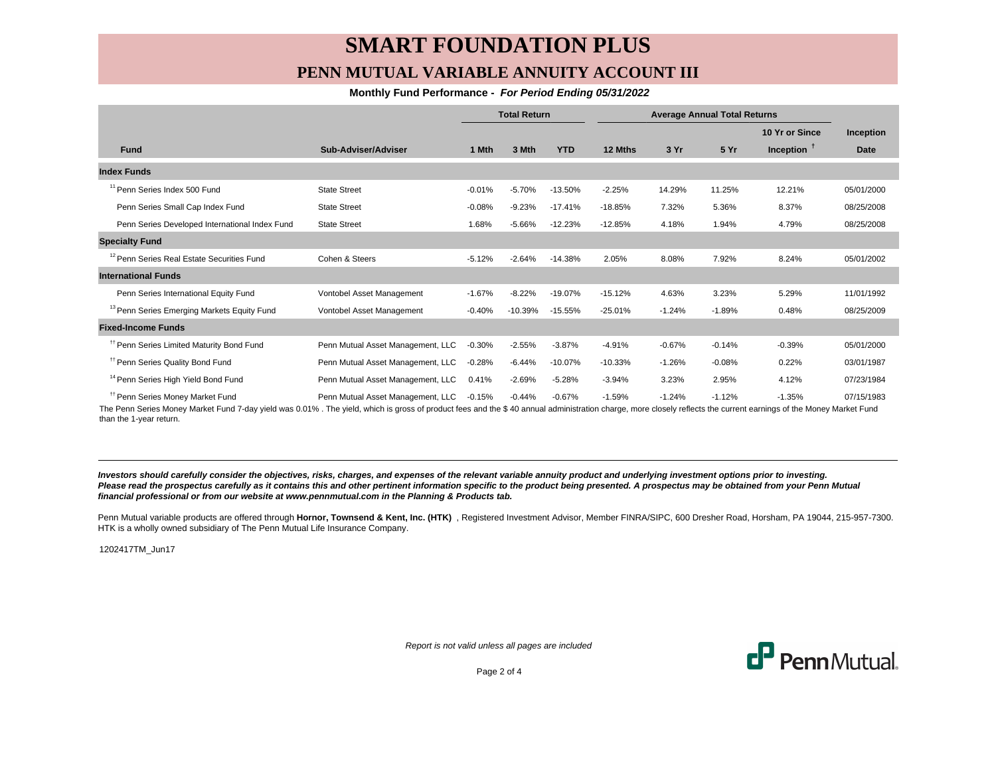## **SMART FOUNDATION PLUS PENN MUTUAL VARIABLE ANNUITY ACCOUNT III**

### **Monthly Fund Performance - For Period Ending 05/31/2022**

|                                                        |                                   | <b>Total Return</b> |           | <b>Average Annual Total Returns</b> |           |          |          |                |                  |
|--------------------------------------------------------|-----------------------------------|---------------------|-----------|-------------------------------------|-----------|----------|----------|----------------|------------------|
|                                                        |                                   |                     |           |                                     |           |          |          | 10 Yr or Since | <b>Inception</b> |
| <b>Fund</b>                                            | Sub-Adviser/Adviser               | 1 Mth               | 3 Mth     | <b>YTD</b>                          | 12 Mths   | 3 Yr     | 5 Yr     | Inception $†$  | <b>Date</b>      |
| <b>Index Funds</b>                                     |                                   |                     |           |                                     |           |          |          |                |                  |
| <sup>11</sup> Penn Series Index 500 Fund               | <b>State Street</b>               | $-0.01%$            | $-5.70%$  | $-13.50%$                           | $-2.25%$  | 14.29%   | 11.25%   | 12.21%         | 05/01/2000       |
| Penn Series Small Cap Index Fund                       | <b>State Street</b>               | $-0.08%$            | $-9.23%$  | $-17.41%$                           | $-18.85%$ | 7.32%    | 5.36%    | 8.37%          | 08/25/2008       |
| Penn Series Developed International Index Fund         | <b>State Street</b>               | 1.68%               | $-5.66%$  | $-12.23%$                           | $-12.85%$ | 4.18%    | 1.94%    | 4.79%          | 08/25/2008       |
| <b>Specialty Fund</b>                                  |                                   |                     |           |                                     |           |          |          |                |                  |
| <sup>12</sup> Penn Series Real Estate Securities Fund  | Cohen & Steers                    | $-5.12%$            | $-2.64%$  | $-14.38%$                           | 2.05%     | 8.08%    | 7.92%    | 8.24%          | 05/01/2002       |
| <b>International Funds</b>                             |                                   |                     |           |                                     |           |          |          |                |                  |
| Penn Series International Equity Fund                  | Vontobel Asset Management         | $-1.67%$            | $-8.22%$  | $-19.07%$                           | $-15.12%$ | 4.63%    | 3.23%    | 5.29%          | 11/01/1992       |
| <sup>13</sup> Penn Series Emerging Markets Equity Fund | Vontobel Asset Management         | $-0.40%$            | $-10.39%$ | $-15.55%$                           | $-25.01%$ | $-1.24%$ | $-1.89%$ | 0.48%          | 08/25/2009       |
| <b>Fixed-Income Funds</b>                              |                                   |                     |           |                                     |           |          |          |                |                  |
| <sup>#</sup> Penn Series Limited Maturity Bond Fund    | Penn Mutual Asset Management, LLC | $-0.30%$            | $-2.55%$  | $-3.87%$                            | $-4.91%$  | $-0.67%$ | $-0.14%$ | $-0.39%$       | 05/01/2000       |
| <sup>#</sup> Penn Series Quality Bond Fund             | Penn Mutual Asset Management, LLC | $-0.28%$            | $-6.44%$  | $-10.07%$                           | $-10.33%$ | $-1.26%$ | $-0.08%$ | 0.22%          | 03/01/1987       |
| <sup>14</sup> Penn Series High Yield Bond Fund         | Penn Mutual Asset Management, LLC | 0.41%               | $-2.69%$  | $-5.28%$                            | $-3.94%$  | 3.23%    | 2.95%    | 4.12%          | 07/23/1984       |
| <sup>11</sup> Penn Series Money Market Fund            | Penn Mutual Asset Management, LLC | $-0.15%$            | $-0.44%$  | $-0.67%$                            | $-1.59%$  | $-1.24%$ | $-1.12%$ | $-1.35%$       | 07/15/1983       |

The Penn Series Money Market Fund 7-day yield was 0.01% . The yield, which is gross of product fees and the \$ 40 annual administration charge, more closely reflects the current earnings of the Money Market Fund than the 1-year return.

**Investors should carefully consider the objectives, risks, charges, and expenses of the relevant variable annuity product and underlying investment options prior to investing.** Please read the prospectus carefully as it contains this and other pertinent information specific to the product being presented. A prospectus may be obtained from your Penn Mutual **financial professional or from our website at www.pennmutual.com in the Planning & Products tab.**

Penn Mutual variable products are offered through Hornor, Townsend & Kent, Inc. (HTK), Registered Investment Advisor, Member FINRA/SIPC, 600 Dresher Road, Horsham, PA 19044, 215-957-7300. HTK is a wholly owned subsidiary of The Penn Mutual Life Insurance Company.

1202417TM\_Jun17

Report is not valid unless all pages are included



Page 2 of 4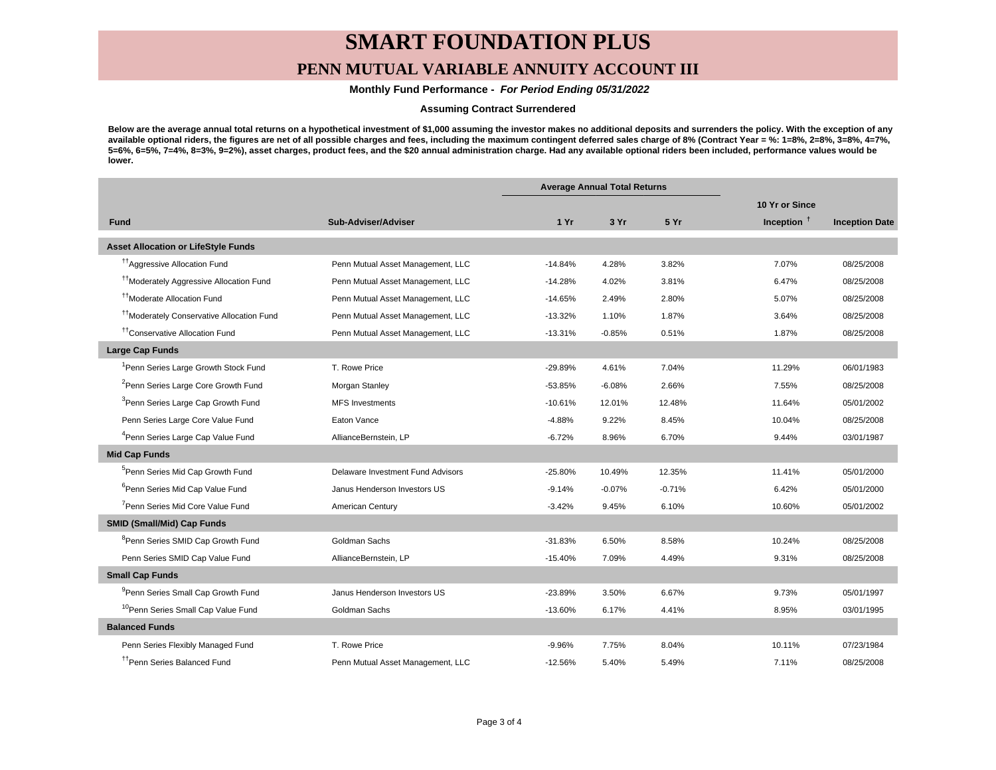## **SMART FOUNDATION PLUS**

## **PENN MUTUAL VARIABLE ANNUITY ACCOUNT III**

 **Monthly Fund Performance - For Period Ending 05/31/2022**

### **Assuming Contract Surrendered**

**Below are the average annual total returns on a hypothetical investment of \$1,000 assuming the investor makes no additional deposits and surrenders the policy. With the exception of any available optional riders, the figures are net of all possible charges and fees, including the maximum contingent deferred sales charge of 8% (Contract Year = %: 1=8%, 2=8%, 3=8%, 4=7%, 5=6%, 6=5%, 7=4%, 8=3%, 9=2%), asset charges, product fees, and the \$20 annual administration charge. Had any available optional riders been included, performance values would be lower.**

|                                                       |                                   | <b>Average Annual Total Returns</b> |          |          |                |                       |
|-------------------------------------------------------|-----------------------------------|-------------------------------------|----------|----------|----------------|-----------------------|
|                                                       |                                   |                                     |          |          | 10 Yr or Since |                       |
| <b>Fund</b>                                           | Sub-Adviser/Adviser               | 1Yr                                 | 3 Yr     | 5 Yr     | Inception $†$  | <b>Inception Date</b> |
| <b>Asset Allocation or LifeStyle Funds</b>            |                                   |                                     |          |          |                |                       |
| <sup>17</sup> Aggressive Allocation Fund              | Penn Mutual Asset Management, LLC | $-14.84%$                           | 4.28%    | 3.82%    | 7.07%          | 08/25/2008            |
| <sup>11</sup> Moderately Aggressive Allocation Fund   | Penn Mutual Asset Management, LLC | $-14.28%$                           | 4.02%    | 3.81%    | 6.47%          | 08/25/2008            |
| <sup>††</sup> Moderate Allocation Fund                | Penn Mutual Asset Management, LLC | $-14.65%$                           | 2.49%    | 2.80%    | 5.07%          | 08/25/2008            |
| <sup>17</sup> Moderately Conservative Allocation Fund | Penn Mutual Asset Management, LLC | $-13.32%$                           | 1.10%    | 1.87%    | 3.64%          | 08/25/2008            |
| <sup>††</sup> Conservative Allocation Fund            | Penn Mutual Asset Management, LLC | $-13.31%$                           | $-0.85%$ | 0.51%    | 1.87%          | 08/25/2008            |
| <b>Large Cap Funds</b>                                |                                   |                                     |          |          |                |                       |
| <sup>1</sup> Penn Series Large Growth Stock Fund      | T. Rowe Price                     | $-29.89%$                           | 4.61%    | 7.04%    | 11.29%         | 06/01/1983            |
| <sup>2</sup> Penn Series Large Core Growth Fund       | Morgan Stanley                    | $-53.85%$                           | $-6.08%$ | 2.66%    | 7.55%          | 08/25/2008            |
| <sup>3</sup> Penn Series Large Cap Growth Fund        | <b>MFS Investments</b>            | $-10.61%$                           | 12.01%   | 12.48%   | 11.64%         | 05/01/2002            |
| Penn Series Large Core Value Fund                     | Eaton Vance                       | $-4.88%$                            | 9.22%    | 8.45%    | 10.04%         | 08/25/2008            |
| <sup>4</sup> Penn Series Large Cap Value Fund         | AllianceBernstein, LP             | $-6.72%$                            | 8.96%    | 6.70%    | 9.44%          | 03/01/1987            |
| <b>Mid Cap Funds</b>                                  |                                   |                                     |          |          |                |                       |
| <sup>5</sup> Penn Series Mid Cap Growth Fund          | Delaware Investment Fund Advisors | $-25.80%$                           | 10.49%   | 12.35%   | 11.41%         | 05/01/2000            |
| <sup>6</sup> Penn Series Mid Cap Value Fund           | Janus Henderson Investors US      | $-9.14%$                            | $-0.07%$ | $-0.71%$ | 6.42%          | 05/01/2000            |
| <sup>7</sup> Penn Series Mid Core Value Fund          | American Century                  | $-3.42%$                            | 9.45%    | 6.10%    | 10.60%         | 05/01/2002            |
| <b>SMID (Small/Mid) Cap Funds</b>                     |                                   |                                     |          |          |                |                       |
| <sup>8</sup> Penn Series SMID Cap Growth Fund         | Goldman Sachs                     | $-31.83%$                           | 6.50%    | 8.58%    | 10.24%         | 08/25/2008            |
| Penn Series SMID Cap Value Fund                       | AllianceBernstein, LP             | $-15.40%$                           | 7.09%    | 4.49%    | 9.31%          | 08/25/2008            |
| <b>Small Cap Funds</b>                                |                                   |                                     |          |          |                |                       |
| <sup>9</sup> Penn Series Small Cap Growth Fund        | Janus Henderson Investors US      | $-23.89%$                           | 3.50%    | 6.67%    | 9.73%          | 05/01/1997            |
| <sup>10</sup> Penn Series Small Cap Value Fund        | Goldman Sachs                     | $-13.60%$                           | 6.17%    | 4.41%    | 8.95%          | 03/01/1995            |
| <b>Balanced Funds</b>                                 |                                   |                                     |          |          |                |                       |
| Penn Series Flexibly Managed Fund                     | T. Rowe Price                     | $-9.96%$                            | 7.75%    | 8.04%    | 10.11%         | 07/23/1984            |
| <sup>††</sup> Penn Series Balanced Fund               | Penn Mutual Asset Management, LLC | $-12.56%$                           | 5.40%    | 5.49%    | 7.11%          | 08/25/2008            |